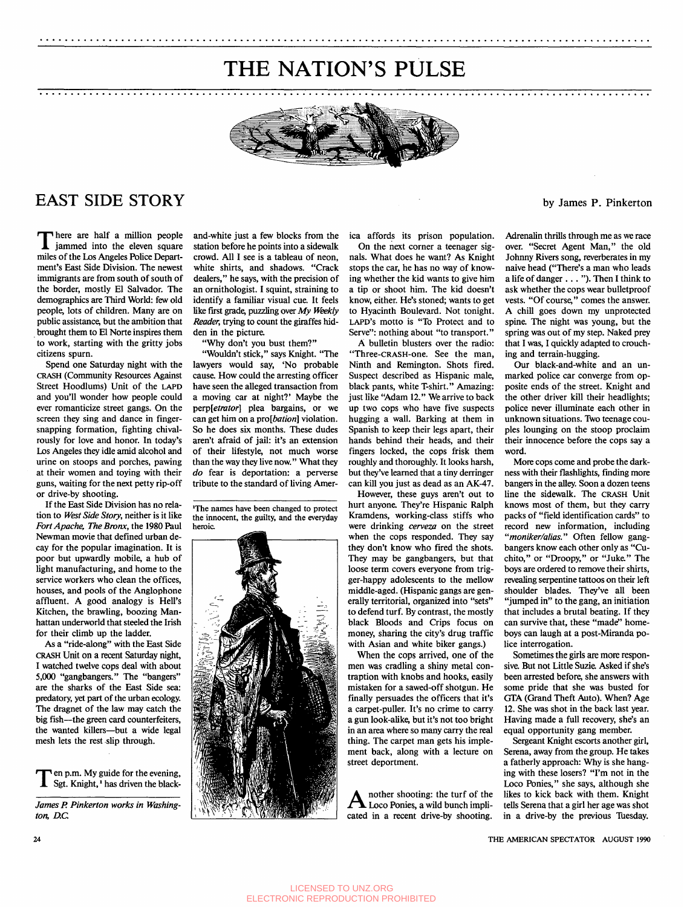## THE NATION'S PULSE

..................................................................................................

..................................................................................................



### EAST SIDE STORY

There are half a million people<br>iammed into the eleven square miles of the Los Angeles Police Department's East Side Division. The newest immigrants are from south of south of the border, mostly El Salvador. The demographics are Third World: few old people, lots of children. Many are on public assistance, but the ambition that brought them to El Norte inspires them to work, starting with the gritty jobs citizens spurn.

Spend one Saturday night with the CRASH (Community Resources Against Street Hoodlums) Unit of the **LAPD**  and you'll wonder how people could ever romanticize street gangs. On the screen they sing and dance in fingersnapping formation, fighting chivalrously for love and honor. In today's Los Angeles they idle amid alcohol and urine on stoops and porches, pawing at their women and toying with their guns, waiting for the next petty rip-off or drive-by shooting.

If the East Side Division has no relation to West Side Story, neither is it like Fort Apache, The Bronx, the 1980 Paul Newman movie that defined urban decay for the popular imagination. It is poor but upwardly mobile, a hub of light manufacturing, and home to the service workers who clean the offices, houses, and pools of the Anglophone affluent. A good analogy is Hell's Kitchen, the brawling, boozing Manhattan underworld that steeled the Irish for their climb up the ladder.

*As* a "ride-along" with the East Side **CRASH** Unit on a recent Saturday **night,**  I watched twelve cops deal with about *5,000* "gangbangers." The "bangers" **are** the sharks of the East Side sea: predatory, yet part of the urban ecology. The dragnet of the law may catch the big fish-the green card counterfeiters, the wanted killers-but a wide legal mesh lets the rest .slip through.

 $\Gamma$ en p.m. My guide for the evening,<br>Sgt. Knight,  $\cdot$  has driven the black-

James P. Pinkerton works in Washington, *D.C.* 

and-white just a few blocks from the station before he points into a sidewalk crowd. All I see is a tableau of neon, white shirts, and shadows. "Crack dealers," he says, with the precision of an ornithologist. I squint, straining to identify a familiar visual cue. It feels like first grade, puzzling over *My* Weekly Reader, trying to count the giraffes hidden in the picture

Why don't you bust them?"

"Wouldn't stick," says Knight. "The lawyers would say, 'No probable cause. How could the arresting officer have seen the alleged transaction from a moving car at night?' Maybe the perp[etrator] plea bargains, or we can get him on a pro[bation] violation. So he does six months. These dudes aren't afraid of jail: it's an extension of their lifestyle, not much worse than the way they live now." What they do fear is deportation: a perverse tribute to the standard of living Amer-

**'The names have been changed to protect the innocent, the guilty, and the everyday heroic** 



ica affords its prison population.

On the next corner a teenager signals. What does he want? As Knight stops the car, he has no way of knowing whether the kid wants to give him a tip or shoot him. The kid doesn't know, either. He's stoned; wants to get to Hyacinth Boulevard. Not tonight. **LAPD'S** motto is "To Protect and to Serve": nothing about "to transport."

A bulletin blusters over the radio: "Three-CRASH-one. See the man, Ninth and Remington. Shots fired. Suspect described as Hispanic male, black pants, white T-shirt." Amazing: just like "Adam 12." We arrive to back up two cops who have five suspects hugging a wall. Barking at them in Spanish to keep their legs apart, their hands behind their heads, and their fingers locked, the cops frisk them roughly and thoroughly. It looks harsh, but they've learned that a tiny derringer can kill you just as dead as an AK-47.

However, these guys aren't out to hurt anyone. They're Hispanic Ralph Kramdens, working-class stiffs who were drinking cerveza on the street when the cops responded. They say they don't know who fired the shots. They may be gangbangers, but that loose term covers everyone from trigger-happy adolescents to the mellow middle-aged. (Hispanic gangs are generally territorial, organized into "sets" to defend turf. By contrast, the mostly black Bloods and Crips focus on money, sharing the city's drug traffic with Asian and white biker gangs.)

When the cops arrived, one of the men was cradling a shiny metal contraption with knobs and hooks, easily mistaken for a sawed-off shotgun. He finally persuades the officers that it's a carpet-puller. It's no crime to carry a gun look-alike, but it's not too bright in an area where so many carry the real thing. The carpet man gets his implement back, along with a lecture on street deportment.

nother shooting: the turf of the  $\blacksquare$  Loco Ponies, a wild bunch implicated in a recent drive-by shooting.

**by** James **P. Pinkerton** 

Adrenalin thrills through me as we race over. "Secret Agent Man," the old Johnny Rivers song, reverberates in my naive head ("There's a man who leads a life of danger . . . "). Then I think to ask whether the cops wear bulletproof vests. "Of course," comes the answer. A chill goes down my unprotected spine. The night was young, but the spring was out of my step. Naked prey that I was, I quickly adapted to crouching and terrain-hugging.

Our black-and-white and an unmarked police car converge from opposite ends of the street. Knight and the other driver kill their headlights; police never illuminate each other in unknown situations. Two teenage couples lounging on the stoop proclaim their innocence before the cops say a word.

More cops come and probe the darkness with their flashlights, finding more bangers in the alley. Soon a dozen teens line the sidewalk. The CRASH Unit knows most of them, but they carry packs of "field identification cards" to record new information, including "moniker/alias." Often fellow gangbangers know each other only as *"Cu*chito," or "Droopy," or "Juke" The boys are ordered to remove their shirts, revealing serpentine tattoos on their left shoulder blades. They've all been "jumped in" to the gang, an initiation that includes a brutal beating. If they can survive that, these "made" homeboys can laugh at a post-Miranda police interrogation.

Sometimes the girls **are more** responsive. But not Little Suzie Asked if she's been arrested before, she answers with some pride that she was busted for GTA (Grand Theft Auto). When? Age 12. She was shot in the back last year. Having made a full recovery, she's an equal opportunity gang member.

Sergeant Knight escorts another girl, Serena, away from the group. He takes a fatherly approach: Why is she hanging with these losers? "I'm not in the Loco Ponies," she says, although she likes to kick back with them. Knight tells Serena that a girl her age was shot in a drive-by the previous Tuesday.

**24** THE *AMERICAN* SPECTATOR AUGUST **1990**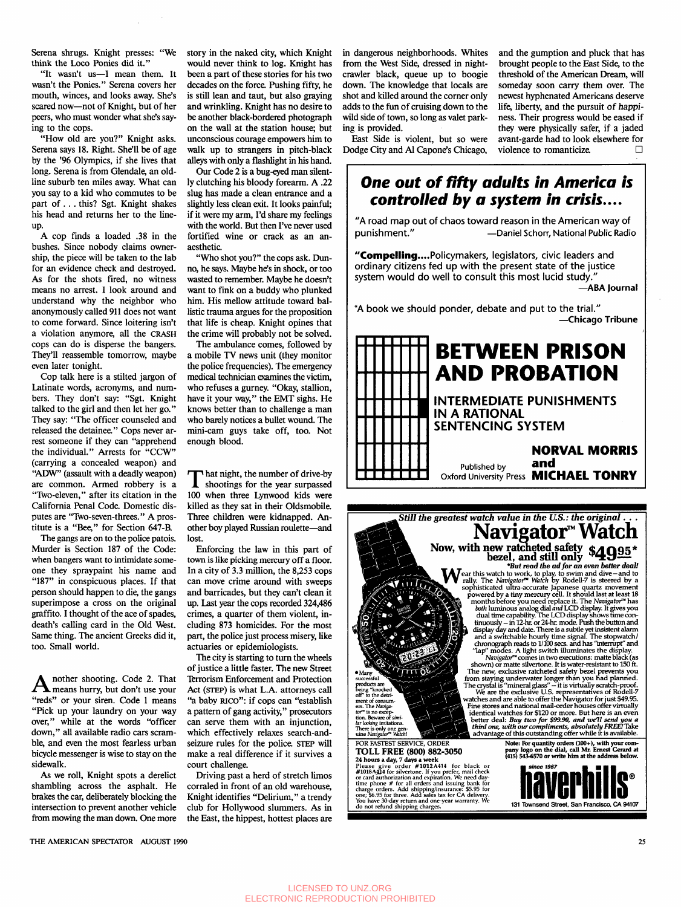Serena shrugs. Knight presses: "We think the Loco Ponies did it."

"It wasn't us-I mean them. It wasn't the Ponies." Serena covers her mouth, winces, and looks away. She's scared now-not of Knight, but of her peers, who must wonder what she's saying to the cops.

"How old are you?" Knight asks. Serena says 18. Right. She'll be of age by the **'96** Olympics, if she lives that long. Serena is from Glendale, an oldline suburb ten miles away. What can you say to a kid who commutes to be part of. . . this? Sgt. Knight shakes his head and returns her to the line-UP.

A cop finds a loaded **.38** in the bushes. Since nobody claims ownership, the piece will be taken to the lab for an evidence check and destroyed. **As** for the shots fired, no witness means no arrest. I look around and understand why the neighbor who anonymously called 911 does not want to come forward. Since loitering isn't a violation anymore, all the **CRASH**  cops can do is disperse the bangers. They'll reassemble tomorrow, maybe even later tonight.

Cop talk here is a stilted jargon of Latinate words, acronyms, and numbers. They don't say: "Sgt. Knight talked to the girl and then let her go." They say: "The officer counseled and released the detainee." Cops never arrest someone if they can "apprehend the individual." Arrests for "CCW" (carrying a concealed weapon) and "ADW" (assault with a deadly weapon) are common. Armed robbery is a "Two-eleven," after its citation in the California Penal Code. Domestic disputes are "Two-seven-threes." A prostitute is a "Bee," for Section **647-B.** 

The gangs are on to the police patois. Murder is Section **187** of the Code: when bangers want to intimidate someone they spraypaint his name and **"187"** in conspicuous places. If that person should happen to die, the gangs superimpose a cross on the original graffito. I thought of the ace of spades, death's calling card in the Old West. Same thing. The ancient Greeks did it, too. Small world.

 $\mathbf A$  nother shooting. Code 2. That means hurry, but don't use your "reds" or your siren. Code **1** means "Pick up your laundry on your way over," while at the words "officer down," all available radio cars scramble, and even the most fearless urban bicycle messenger is wise to stay on the sidewalk.

*As* we roll, Knight spots a derelict shambling across the asphalt. He brakes the car, deliberately blocking the intersection to prevent another vehicle from mowing the man down. One more story in the naked city, which Knight would never think to log. Knight has been a part of these stories for his two decades on the force. Pushing fifty, he is still lean and taut, but also graying and wrinkling. Knight has no desire to be another black-bordered photograph on the wall at the station house; but unconscious courage empowers him to walk up to strangers in pitch-black alleys with only a flashlight in his hand.

Our Code 2 is a bug-eyed man silently clutching his bloody forearm. A **.22**  slug has made a clean entrance and a slightly less clean exit. It looks painful, if it were my arm, I'd share my feelings with the world. But then I've never used fortified wine or crack as an anaesthetic.

"Who shot you?" the cops ask. Dunno, he says. Maybe he's in shock, or too wasted to remember. Maybe he doesn't want to fink on a buddy who plunked him. His mellow attitude toward ballistic trauma argues for the proposition that life is cheap. Knight opines that the crime will probably not be solved.

The ambulance comes, followed by a mobile TV news unit (they monitor the police frequencies). The emergency medical technician examines the victim, who refuses a gurney. "Okay, stallion, have it your way," the EMT sighs. He knows better than to challenge a man who barely notices a bullet wound. The mini-cam guys take off, too. Not enough blood.

 $\prod$  hat night, the number of drive-by shootings for the year surpassed **100** when three Lynwood kids were killed **as** they sat in their Oldsmobile. Three children were kidnapped. **An**other boy played Russian roulette-and lost.

Enforcing the law in this part of town is like picking mercury off a floor. In a city of **3.3** million, the **8,253** cops can move crime around with sweeps and barricades, but they can't clean it up. Last year the cops recorded **324,486**  crimes, a quarter of them violent, including **873** homicides. For the most part, the police just process misery, like actuaries or epidemiologists.

The city is starting to turn the wheels of justice a little faster. The new Street Terrorism Enforcement and Protection Act (STEP) is what L.A. attorneys call "a baby **RICO":** if cops can "establish a pattern of gang activity," prosecutors can serve them with an injunction, which effectively relaxes search-andseizure rules for the police. **STEP** will make a real difference if it survives a court challenge.

Driving past a herd of stretch limos corraled in front of an old warehouse, Knight identifies "Delirium," a trendy club for Hollywood slummers. **As** in the East, the hippest, hottest places are in dangerous neighborhoods. Whites from the West Side, dressed in nightcrawler black, queue up to boogie down. The knowledge that locals are shot and killed around the comer only adds to the fun of cruising down to the wild side of town, so long **as** valet parking is provided. East Side is violent, but so were

Dodge City and Al Capone's Chicago,

threshold of the American Dream, will someday soon carry them over. The newest hyphenated Americans deserve life, liberty, and the pursuit of happiness. Their progress would be eased if they were physically safer, if a jaded avant-garde had to look elsewhere for violence to romanticize.  $\Box$ 

and the gumption and pluck that has brought people to the East Side, to the

## *One out of fifty adults in America is*  **controlled by a system in crisis....**<br>"A road map out of chaos toward reason in the American way of

punishment." -Daniel Schorr, National Public Radio

"Compelling....Policymakers, legislators, civic leaders and ordinary citizens fed up with the present state of the justice system would do well to consult this most lucid study." **-ABA Journal** 

"A book we should ponder, debate and put to the trial." **-Chicago Tribune**